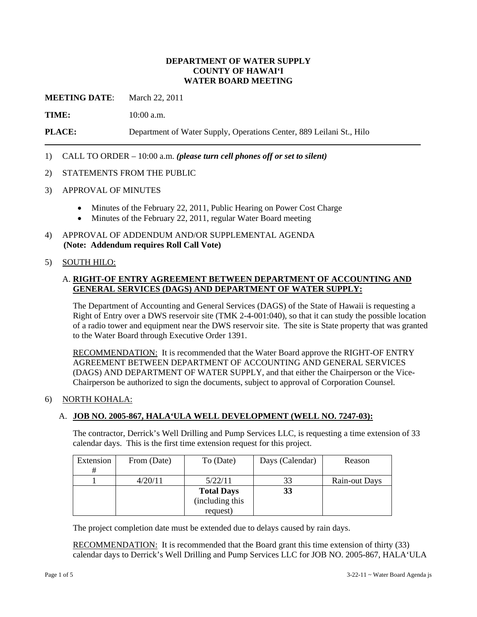## **DEPARTMENT OF WATER SUPPLY COUNTY OF HAWAI'I WATER BOARD MEETING**

**MEETING DATE:** March 22, 2011

**TIME:** 10:00 a.m.

**PLACE:** Department of Water Supply, Operations Center, 889 Leilani St., Hilo

## 1) CALL TO ORDER – 10:00 a.m. *(please turn cell phones off or set to silent)*

### 2) STATEMENTS FROM THE PUBLIC

- 3) APPROVAL OF MINUTES
	- Minutes of the February 22, 2011, Public Hearing on Power Cost Charge
	- Minutes of the February 22, 2011, regular Water Board meeting
- 4) APPROVAL OF ADDENDUM AND/OR SUPPLEMENTAL AGENDA **(Note: Addendum requires Roll Call Vote)**

## 5) SOUTH HILO:

## A. **RIGHT-OF ENTRY AGREEMENT BETWEEN DEPARTMENT OF ACCOUNTING AND GENERAL SERVICES (DAGS) AND DEPARTMENT OF WATER SUPPLY:**

The Department of Accounting and General Services (DAGS) of the State of Hawaii is requesting a Right of Entry over a DWS reservoir site (TMK 2-4-001:040), so that it can study the possible location of a radio tower and equipment near the DWS reservoir site. The site is State property that was granted to the Water Board through Executive Order 1391.

RECOMMENDATION: It is recommended that the Water Board approve the RIGHT-OF ENTRY AGREEMENT BETWEEN DEPARTMENT OF ACCOUNTING AND GENERAL SERVICES (DAGS) AND DEPARTMENT OF WATER SUPPLY, and that either the Chairperson or the Vice-Chairperson be authorized to sign the documents, subject to approval of Corporation Counsel.

### 6) NORTH KOHALA:

## A. **JOB NO. 2005-867, HALA'ULA WELL DEVELOPMENT (WELL NO. 7247-03):**

The contractor, Derrick's Well Drilling and Pump Services LLC, is requesting a time extension of 33 calendar days. This is the first time extension request for this project.

| Extension | From (Date) | To (Date)         | Days (Calendar) | Reason        |
|-----------|-------------|-------------------|-----------------|---------------|
| #         |             |                   |                 |               |
|           | 4/20/11     | 5/22/11           | 33              | Rain-out Days |
|           |             | <b>Total Days</b> | 33              |               |
|           |             | (including this   |                 |               |
|           |             | request)          |                 |               |

The project completion date must be extended due to delays caused by rain days.

RECOMMENDATION: It is recommended that the Board grant this time extension of thirty (33) calendar days to Derrick's Well Drilling and Pump Services LLC for JOB NO. 2005-867, HALA'ULA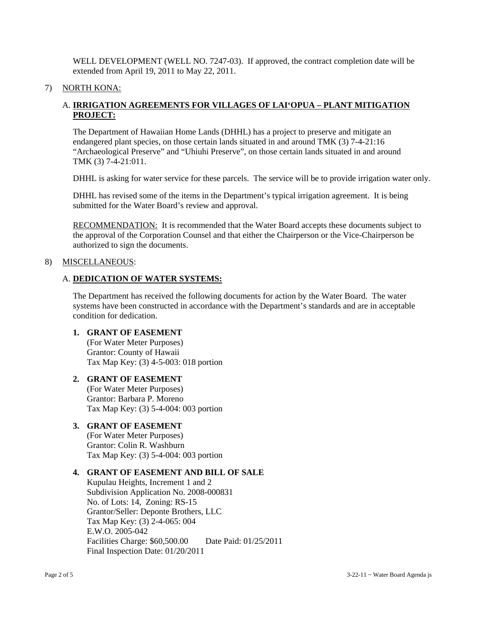WELL DEVELOPMENT (WELL NO. 7247-03). If approved, the contract completion date will be extended from April 19, 2011 to May 22, 2011.

### 7) NORTH KONA:

# A. **IRRIGATION AGREEMENTS FOR VILLAGES OF LAI'OPUA – PLANT MITIGATION PROJECT:**

The Department of Hawaiian Home Lands (DHHL) has a project to preserve and mitigate an endangered plant species, on those certain lands situated in and around TMK (3) 7-4-21:16 "Archaeological Preserve" and "Uhiuhi Preserve", on those certain lands situated in and around TMK (3) 7-4-21:011.

DHHL is asking for water service for these parcels. The service will be to provide irrigation water only.

DHHL has revised some of the items in the Department's typical irrigation agreement. It is being submitted for the Water Board's review and approval.

RECOMMENDATION: It is recommended that the Water Board accepts these documents subject to the approval of the Corporation Counsel and that either the Chairperson or the Vice-Chairperson be authorized to sign the documents.

### 8) MISCELLANEOUS:

### A. **DEDICATION OF WATER SYSTEMS:**

The Department has received the following documents for action by the Water Board. The water systems have been constructed in accordance with the Department's standards and are in acceptable condition for dedication.

# **1. GRANT OF EASEMENT**

(For Water Meter Purposes) Grantor: County of Hawaii Tax Map Key: (3) 4-5-003: 018 portion

## **2. GRANT OF EASEMENT**

(For Water Meter Purposes) Grantor: Barbara P. Moreno Tax Map Key: (3) 5-4-004: 003 portion

### **3. GRANT OF EASEMENT**

(For Water Meter Purposes) Grantor: Colin R. Washburn Tax Map Key: (3) 5-4-004: 003 portion

## **4. GRANT OF EASEMENT AND BILL OF SALE**

Kupulau Heights, Increment 1 and 2 Subdivision Application No. 2008-000831 No. of Lots: 14, Zoning: RS-15 Grantor/Seller: Deponte Brothers, LLC Tax Map Key: (3) 2-4-065: 004 E.W.O. 2005-042 Facilities Charge: \$60,500.00 Date Paid: 01/25/2011 Final Inspection Date: 01/20/2011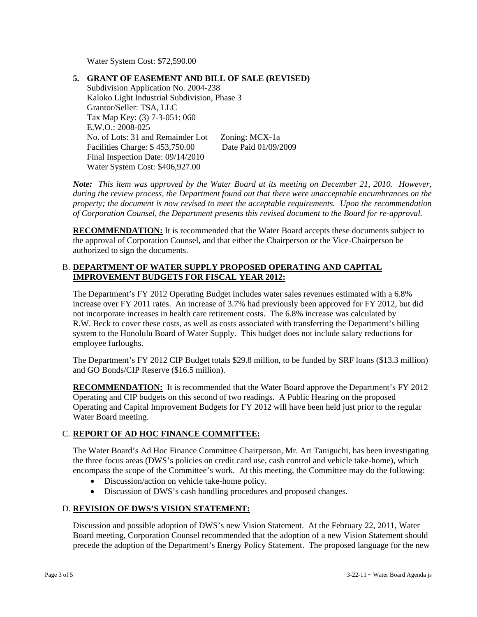Water System Cost: \$72,590.00

## **5. GRANT OF EASEMENT AND BILL OF SALE (REVISED)**

Subdivision Application No. 2004-238 Kaloko Light Industrial Subdivision, Phase 3 Grantor/Seller: TSA, LLC Tax Map Key: (3) 7-3-051: 060 E.W.O.: 2008-025 No. of Lots: 31 and Remainder Lot Zoning: MCX-1a Facilities Charge: \$ 453,750.00 Date Paid 01/09/2009 Final Inspection Date: 09/14/2010 Water System Cost: \$406,927.00

*Note: This item was approved by the Water Board at its meeting on December 21, 2010. However, during the review process, the Department found out that there were unacceptable encumbrances on the property; the document is now revised to meet the acceptable requirements. Upon the recommendation of Corporation Counsel, the Department presents this revised document to the Board for re-approval.* 

**RECOMMENDATION:** It is recommended that the Water Board accepts these documents subject to the approval of Corporation Counsel, and that either the Chairperson or the Vice-Chairperson be authorized to sign the documents.

## B. **DEPARTMENT OF WATER SUPPLY PROPOSED OPERATING AND CAPITAL IMPROVEMENT BUDGETS FOR FISCAL YEAR 2012:**

The Department's FY 2012 Operating Budget includes water sales revenues estimated with a 6.8% increase over FY 2011 rates. An increase of 3.7% had previously been approved for FY 2012, but did not incorporate increases in health care retirement costs. The 6.8% increase was calculated by R.W. Beck to cover these costs, as well as costs associated with transferring the Department's billing system to the Honolulu Board of Water Supply. This budget does not include salary reductions for employee furloughs.

The Department's FY 2012 CIP Budget totals \$29.8 million, to be funded by SRF loans (\$13.3 million) and GO Bonds/CIP Reserve (\$16.5 million).

**RECOMMENDATION:** It is recommended that the Water Board approve the Department's FY 2012 Operating and CIP budgets on this second of two readings. A Public Hearing on the proposed Operating and Capital Improvement Budgets for FY 2012 will have been held just prior to the regular Water Board meeting.

# C. **REPORT OF AD HOC FINANCE COMMITTEE:**

The Water Board's Ad Hoc Finance Committee Chairperson, Mr. Art Taniguchi, has been investigating the three focus areas (DWS's policies on credit card use, cash control and vehicle take-home), which encompass the scope of the Committee's work. At this meeting, the Committee may do the following:

- Discussion/action on vehicle take-home policy.
- Discussion of DWS's cash handling procedures and proposed changes.

## D. **REVISION OF DWS'S VISION STATEMENT:**

Discussion and possible adoption of DWS's new Vision Statement. At the February 22, 2011, Water Board meeting, Corporation Counsel recommended that the adoption of a new Vision Statement should precede the adoption of the Department's Energy Policy Statement. The proposed language for the new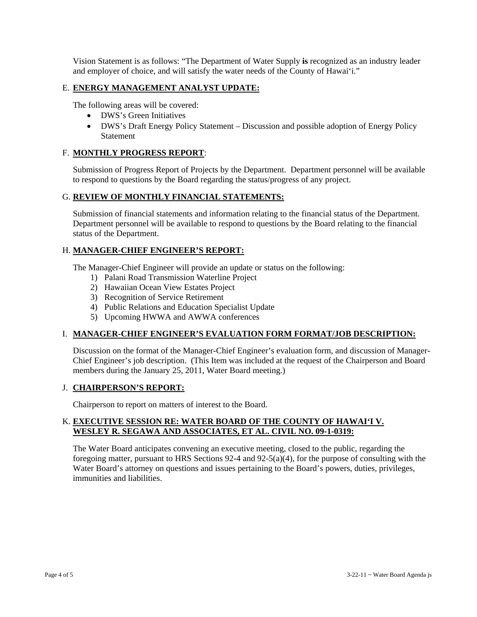Vision Statement is as follows: "The Department of Water Supply **is** recognized as an industry leader and employer of choice, and will satisfy the water needs of the County of Hawai'i."

## E. **ENERGY MANAGEMENT ANALYST UPDATE:**

The following areas will be covered:

- DWS's Green Initiatives
- DWS's Draft Energy Policy Statement Discussion and possible adoption of Energy Policy Statement

# F. **MONTHLY PROGRESS REPORT**:

Submission of Progress Report of Projects by the Department. Department personnel will be available to respond to questions by the Board regarding the status/progress of any project.

# G. **REVIEW OF MONTHLY FINANCIAL STATEMENTS:**

Submission of financial statements and information relating to the financial status of the Department. Department personnel will be available to respond to questions by the Board relating to the financial status of the Department.

# H. **MANAGER-CHIEF ENGINEER'S REPORT:**

The Manager-Chief Engineer will provide an update or status on the following:

- 1) Palani Road Transmission Waterline Project
- 2) Hawaiian Ocean View Estates Project
- 3) Recognition of Service Retirement
- 4) Public Relations and Education Specialist Update
- 5) Upcoming HWWA and AWWA conferences

## I. **MANAGER-CHIEF ENGINEER'S EVALUATION FORM FORMAT/JOB DESCRIPTION:**

Discussion on the format of the Manager-Chief Engineer's evaluation form, and discussion of Manager-Chief Engineer's job description. (This Item was included at the request of the Chairperson and Board members during the January 25, 2011, Water Board meeting.)

## J. **CHAIRPERSON'S REPORT:**

Chairperson to report on matters of interest to the Board.

# K. **EXECUTIVE SESSION RE: WATER BOARD OF THE COUNTY OF HAWAI'I V. WESLEY R. SEGAWA AND ASSOCIATES, ET AL. CIVIL NO. 09-1-0319:**

The Water Board anticipates convening an executive meeting, closed to the public, regarding the foregoing matter, pursuant to HRS Sections 92-4 and 92-5(a)(4), for the purpose of consulting with the Water Board's attorney on questions and issues pertaining to the Board's powers, duties, privileges, immunities and liabilities.